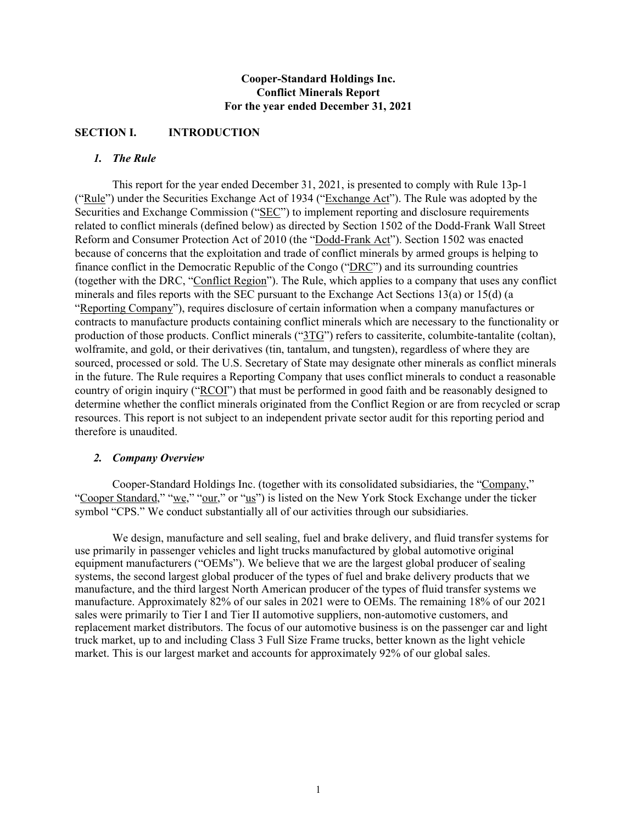# **Cooper-Standard Holdings Inc. Conflict Minerals Report For the year ended December 31, 2021**

# **SECTION I. INTRODUCTION**

# *1. The Rule*

This report for the year ended December 31, 2021, is presented to comply with Rule 13p-1 ("Rule") under the Securities Exchange Act of 1934 ("Exchange Act"). The Rule was adopted by the Securities and Exchange Commission ("SEC") to implement reporting and disclosure requirements related to conflict minerals (defined below) as directed by Section 1502 of the Dodd-Frank Wall Street Reform and Consumer Protection Act of 2010 (the "Dodd-Frank Act"). Section 1502 was enacted because of concerns that the exploitation and trade of conflict minerals by armed groups is helping to finance conflict in the Democratic Republic of the Congo ("DRC") and its surrounding countries (together with the DRC, "Conflict Region"). The Rule, which applies to a company that uses any conflict minerals and files reports with the SEC pursuant to the Exchange Act Sections 13(a) or 15(d) (a "Reporting Company"), requires disclosure of certain information when a company manufactures or contracts to manufacture products containing conflict minerals which are necessary to the functionality or production of those products. Conflict minerals ("3TG") refers to cassiterite, columbite-tantalite (coltan), wolframite, and gold, or their derivatives (tin, tantalum, and tungsten), regardless of where they are sourced, processed or sold. The U.S. Secretary of State may designate other minerals as conflict minerals in the future. The Rule requires a Reporting Company that uses conflict minerals to conduct a reasonable country of origin inquiry ("RCOI") that must be performed in good faith and be reasonably designed to determine whether the conflict minerals originated from the Conflict Region or are from recycled or scrap resources. This report is not subject to an independent private sector audit for this reporting period and therefore is unaudited.

## *2. Company Overview*

Cooper-Standard Holdings Inc. (together with its consolidated subsidiaries, the "Company," "Cooper Standard," "we," "our," or "us") is listed on the New York Stock Exchange under the ticker symbol "CPS." We conduct substantially all of our activities through our subsidiaries.

We design, manufacture and sell sealing, fuel and brake delivery, and fluid transfer systems for use primarily in passenger vehicles and light trucks manufactured by global automotive original equipment manufacturers ("OEMs"). We believe that we are the largest global producer of sealing systems, the second largest global producer of the types of fuel and brake delivery products that we manufacture, and the third largest North American producer of the types of fluid transfer systems we manufacture. Approximately 82% of our sales in 2021 were to OEMs. The remaining 18% of our 2021 sales were primarily to Tier I and Tier II automotive suppliers, non-automotive customers, and replacement market distributors. The focus of our automotive business is on the passenger car and light truck market, up to and including Class 3 Full Size Frame trucks, better known as the light vehicle market. This is our largest market and accounts for approximately 92% of our global sales.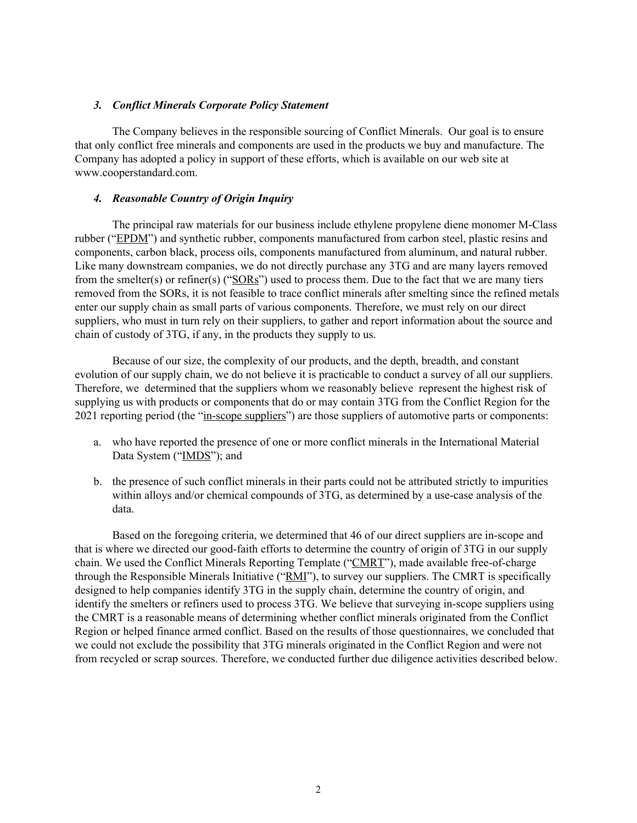### *3. Conflict Minerals Corporate Policy Statement*

 The Company believes in the responsible sourcing of Conflict Minerals. Our goal is to ensure that only conflict free minerals and components are used in the products we buy and manufacture. The Company has adopted a policy in support of these efforts, which is available on our web site at www.cooperstandard.com.

### *4. Reasonable Country of Origin Inquiry*

The principal raw materials for our business include ethylene propylene diene monomer M-Class rubber ("EPDM") and synthetic rubber, components manufactured from carbon steel, plastic resins and components, carbon black, process oils, components manufactured from aluminum, and natural rubber. Like many downstream companies, we do not directly purchase any 3TG and are many layers removed from the smelter(s) or refiner(s) ("SORs") used to process them. Due to the fact that we are many tiers removed from the SORs, it is not feasible to trace conflict minerals after smelting since the refined metals enter our supply chain as small parts of various components. Therefore, we must rely on our direct suppliers, who must in turn rely on their suppliers, to gather and report information about the source and chain of custody of 3TG, if any, in the products they supply to us.

Because of our size, the complexity of our products, and the depth, breadth, and constant evolution of our supply chain, we do not believe it is practicable to conduct a survey of all our suppliers. Therefore, we determined that the suppliers whom we reasonably believe represent the highest risk of supplying us with products or components that do or may contain 3TG from the Conflict Region for the 2021 reporting period (the "in-scope suppliers") are those suppliers of automotive parts or components:

- a. who have reported the presence of one or more conflict minerals in the International Material Data System ("IMDS"); and
- b. the presence of such conflict minerals in their parts could not be attributed strictly to impurities within alloys and/or chemical compounds of 3TG, as determined by a use-case analysis of the data.

Based on the foregoing criteria, we determined that 46 of our direct suppliers are in-scope and that is where we directed our good-faith efforts to determine the country of origin of 3TG in our supply chain. We used the Conflict Minerals Reporting Template ("CMRT"), made available free-of-charge through the Responsible Minerals Initiative ("RMI"), to survey our suppliers. The CMRT is specifically designed to help companies identify 3TG in the supply chain, determine the country of origin, and identify the smelters or refiners used to process 3TG. We believe that surveying in-scope suppliers using the CMRT is a reasonable means of determining whether conflict minerals originated from the Conflict Region or helped finance armed conflict. Based on the results of those questionnaires, we concluded that we could not exclude the possibility that 3TG minerals originated in the Conflict Region and were not from recycled or scrap sources. Therefore, we conducted further due diligence activities described below.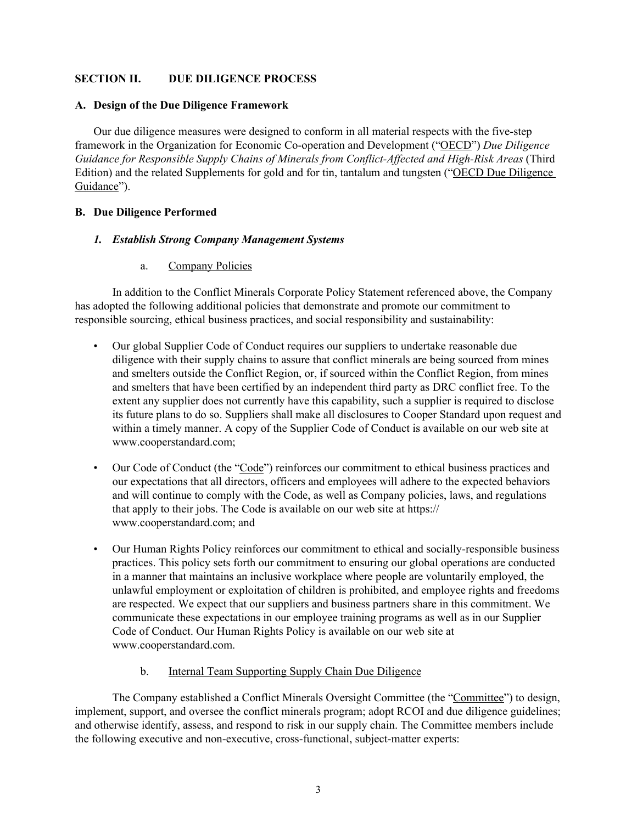# **SECTION II. DUE DILIGENCE PROCESS**

## **A. Design of the Due Diligence Framework**

Our due diligence measures were designed to conform in all material respects with the five-step framework in the Organization for Economic Co-operation and Development ("OECD") *Due Diligence Guidance for Responsible Supply Chains of Minerals from Conflict-Affected and High-Risk Areas* (Third Edition) and the related Supplements for gold and for tin, tantalum and tungsten ("OECD Due Diligence Guidance").

# **B. Due Diligence Performed**

## *1. Establish Strong Company Management Systems*

a. Company Policies

In addition to the Conflict Minerals Corporate Policy Statement referenced above, the Company has adopted the following additional policies that demonstrate and promote our commitment to responsible sourcing, ethical business practices, and social responsibility and sustainability:

- Our global Supplier Code of Conduct requires our suppliers to undertake reasonable due diligence with their supply chains to assure that conflict minerals are being sourced from mines and smelters outside the Conflict Region, or, if sourced within the Conflict Region, from mines and smelters that have been certified by an independent third party as DRC conflict free. To the extent any supplier does not currently have this capability, such a supplier is required to disclose its future plans to do so. Suppliers shall make all disclosures to Cooper Standard upon request and within a timely manner. A copy of the Supplier Code of Conduct is available on our web site at www.cooperstandard.com;
- Our Code of Conduct (the "Code") reinforces our commitment to ethical business practices and our expectations that all directors, officers and employees will adhere to the expected behaviors and will continue to comply with the Code, as well as Company policies, laws, and regulations that apply to their jobs. The Code is available on our web site at https:// www.cooperstandard.com; and
- Our Human Rights Policy reinforces our commitment to ethical and socially-responsible business practices. This policy sets forth our commitment to ensuring our global operations are conducted in a manner that maintains an inclusive workplace where people are voluntarily employed, the unlawful employment or exploitation of children is prohibited, and employee rights and freedoms are respected. We expect that our suppliers and business partners share in this commitment. We communicate these expectations in our employee training programs as well as in our Supplier Code of Conduct. Our Human Rights Policy is available on our web site at www.cooperstandard.com.
	- b. Internal Team Supporting Supply Chain Due Diligence

The Company established a Conflict Minerals Oversight Committee (the "Committee") to design, implement, support, and oversee the conflict minerals program; adopt RCOI and due diligence guidelines; and otherwise identify, assess, and respond to risk in our supply chain. The Committee members include the following executive and non-executive, cross-functional, subject-matter experts: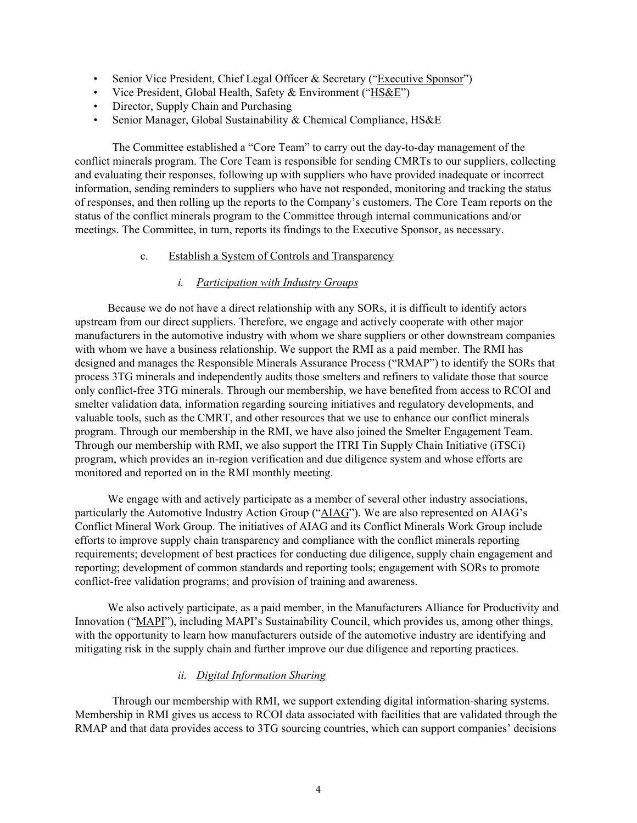- Senior Vice President, Chief Legal Officer & Secretary ("Executive Sponsor")
- Vice President, Global Health, Safety & Environment ("HS&E")
- Director, Supply Chain and Purchasing
- Senior Manager, Global Sustainability & Chemical Compliance, HS&E

The Committee established a "Core Team" to carry out the day-to-day management of the conflict minerals program. The Core Team is responsible for sending CMRTs to our suppliers, collecting and evaluating their responses, following up with suppliers who have provided inadequate or incorrect information, sending reminders to suppliers who have not responded, monitoring and tracking the status of responses, and then rolling up the reports to the Company's customers. The Core Team reports on the status of the conflict minerals program to the Committee through internal communications and/or meetings. The Committee, in turn, reports its findings to the Executive Sponsor, as necessary.

#### c. Establish a System of Controls and Transparency

#### *i. Participation with Industry Groups*

Because we do not have a direct relationship with any SORs, it is difficult to identify actors upstream from our direct suppliers. Therefore, we engage and actively cooperate with other major manufacturers in the automotive industry with whom we share suppliers or other downstream companies with whom we have a business relationship. We support the RMI as a paid member. The RMI has designed and manages the Responsible Minerals Assurance Process ("RMAP") to identify the SORs that process 3TG minerals and independently audits those smelters and refiners to validate those that source only conflict-free 3TG minerals. Through our membership, we have benefited from access to RCOI and smelter validation data, information regarding sourcing initiatives and regulatory developments, and valuable tools, such as the CMRT, and other resources that we use to enhance our conflict minerals program. Through our membership in the RMI, we have also joined the Smelter Engagement Team. Through our membership with RMI, we also support the ITRI Tin Supply Chain Initiative (iTSCi) program, which provides an in-region verification and due diligence system and whose efforts are monitored and reported on in the RMI monthly meeting.

We engage with and actively participate as a member of several other industry associations, particularly the Automotive Industry Action Group ("AIAG"). We are also represented on AIAG's Conflict Mineral Work Group. The initiatives of AIAG and its Conflict Minerals Work Group include efforts to improve supply chain transparency and compliance with the conflict minerals reporting requirements; development of best practices for conducting due diligence, supply chain engagement and reporting; development of common standards and reporting tools; engagement with SORs to promote conflict-free validation programs; and provision of training and awareness.

We also actively participate, as a paid member, in the Manufacturers Alliance for Productivity and Innovation ("MAPI"), including MAPI's Sustainability Council, which provides us, among other things, with the opportunity to learn how manufacturers outside of the automotive industry are identifying and mitigating risk in the supply chain and further improve our due diligence and reporting practices.

## *ii. Digital Information Sharing*

Through our membership with RMI, we support extending digital information-sharing systems. Membership in RMI gives us access to RCOI data associated with facilities that are validated through the RMAP and that data provides access to 3TG sourcing countries, which can support companies' decisions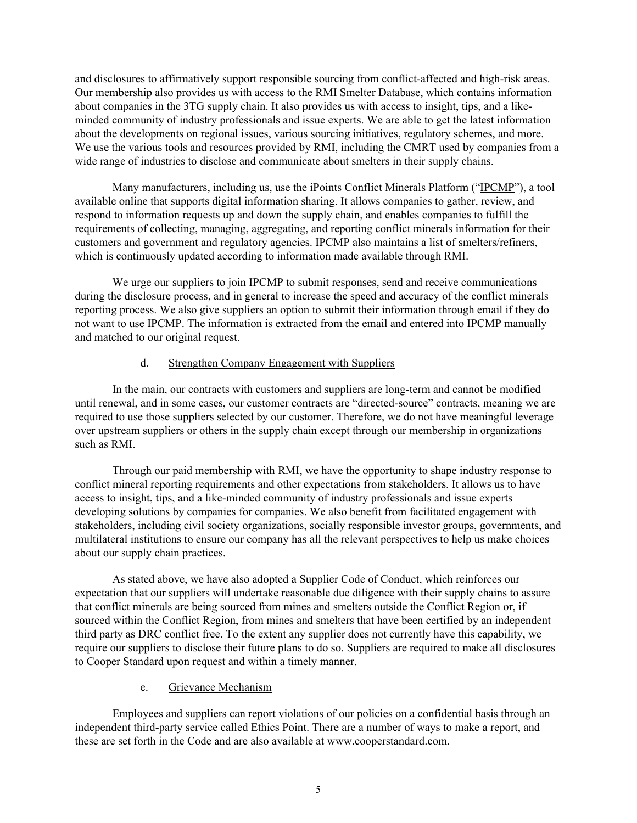and disclosures to affirmatively support responsible sourcing from conflict-affected and high-risk areas. Our membership also provides us with access to the RMI Smelter Database, which contains information about companies in the 3TG supply chain. It also provides us with access to insight, tips, and a likeminded community of industry professionals and issue experts. We are able to get the latest information about the developments on regional issues, various sourcing initiatives, regulatory schemes, and more. We use the various tools and resources provided by RMI, including the CMRT used by companies from a wide range of industries to disclose and communicate about smelters in their supply chains.

Many manufacturers, including us, use the iPoints Conflict Minerals Platform ("IPCMP"), a tool available online that supports digital information sharing. It allows companies to gather, review, and respond to information requests up and down the supply chain, and enables companies to fulfill the requirements of collecting, managing, aggregating, and reporting conflict minerals information for their customers and government and regulatory agencies. IPCMP also maintains a list of smelters/refiners, which is continuously updated according to information made available through RMI.

We urge our suppliers to join IPCMP to submit responses, send and receive communications during the disclosure process, and in general to increase the speed and accuracy of the conflict minerals reporting process. We also give suppliers an option to submit their information through email if they do not want to use IPCMP. The information is extracted from the email and entered into IPCMP manually and matched to our original request.

### d. Strengthen Company Engagement with Suppliers

In the main, our contracts with customers and suppliers are long-term and cannot be modified until renewal, and in some cases, our customer contracts are "directed-source" contracts, meaning we are required to use those suppliers selected by our customer. Therefore, we do not have meaningful leverage over upstream suppliers or others in the supply chain except through our membership in organizations such as RMI.

Through our paid membership with RMI, we have the opportunity to shape industry response to conflict mineral reporting requirements and other expectations from stakeholders. It allows us to have access to insight, tips, and a like-minded community of industry professionals and issue experts developing solutions by companies for companies. We also benefit from facilitated engagement with stakeholders, including civil society organizations, socially responsible investor groups, governments, and multilateral institutions to ensure our company has all the relevant perspectives to help us make choices about our supply chain practices.

 As stated above, we have also adopted a Supplier Code of Conduct, which reinforces our expectation that our suppliers will undertake reasonable due diligence with their supply chains to assure that conflict minerals are being sourced from mines and smelters outside the Conflict Region or, if sourced within the Conflict Region, from mines and smelters that have been certified by an independent third party as DRC conflict free. To the extent any supplier does not currently have this capability, we require our suppliers to disclose their future plans to do so. Suppliers are required to make all disclosures to Cooper Standard upon request and within a timely manner.

### e. Grievance Mechanism

Employees and suppliers can report violations of our policies on a confidential basis through an independent third-party service called Ethics Point. There are a number of ways to make a report, and these are set forth in the Code and are also available at www.cooperstandard.com.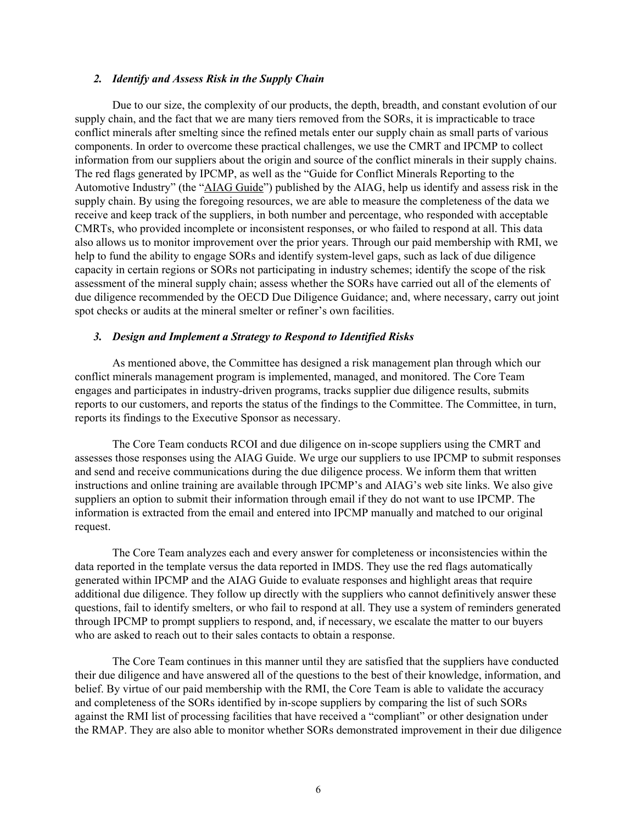### *2. Identify and Assess Risk in the Supply Chain*

Due to our size, the complexity of our products, the depth, breadth, and constant evolution of our supply chain, and the fact that we are many tiers removed from the SORs, it is impracticable to trace conflict minerals after smelting since the refined metals enter our supply chain as small parts of various components. In order to overcome these practical challenges, we use the CMRT and IPCMP to collect information from our suppliers about the origin and source of the conflict minerals in their supply chains. The red flags generated by IPCMP, as well as the "Guide for Conflict Minerals Reporting to the Automotive Industry" (the "AIAG Guide") published by the AIAG, help us identify and assess risk in the supply chain. By using the foregoing resources, we are able to measure the completeness of the data we receive and keep track of the suppliers, in both number and percentage, who responded with acceptable CMRTs, who provided incomplete or inconsistent responses, or who failed to respond at all. This data also allows us to monitor improvement over the prior years. Through our paid membership with RMI, we help to fund the ability to engage SORs and identify system-level gaps, such as lack of due diligence capacity in certain regions or SORs not participating in industry schemes; identify the scope of the risk assessment of the mineral supply chain; assess whether the SORs have carried out all of the elements of due diligence recommended by the OECD Due Diligence Guidance; and, where necessary, carry out joint spot checks or audits at the mineral smelter or refiner's own facilities.

#### *3. Design and Implement a Strategy to Respond to Identified Risks*

As mentioned above, the Committee has designed a risk management plan through which our conflict minerals management program is implemented, managed, and monitored. The Core Team engages and participates in industry-driven programs, tracks supplier due diligence results, submits reports to our customers, and reports the status of the findings to the Committee. The Committee, in turn, reports its findings to the Executive Sponsor as necessary.

The Core Team conducts RCOI and due diligence on in-scope suppliers using the CMRT and assesses those responses using the AIAG Guide. We urge our suppliers to use IPCMP to submit responses and send and receive communications during the due diligence process. We inform them that written instructions and online training are available through IPCMP's and AIAG's web site links. We also give suppliers an option to submit their information through email if they do not want to use IPCMP. The information is extracted from the email and entered into IPCMP manually and matched to our original request.

The Core Team analyzes each and every answer for completeness or inconsistencies within the data reported in the template versus the data reported in IMDS. They use the red flags automatically generated within IPCMP and the AIAG Guide to evaluate responses and highlight areas that require additional due diligence. They follow up directly with the suppliers who cannot definitively answer these questions, fail to identify smelters, or who fail to respond at all. They use a system of reminders generated through IPCMP to prompt suppliers to respond, and, if necessary, we escalate the matter to our buyers who are asked to reach out to their sales contacts to obtain a response.

The Core Team continues in this manner until they are satisfied that the suppliers have conducted their due diligence and have answered all of the questions to the best of their knowledge, information, and belief. By virtue of our paid membership with the RMI, the Core Team is able to validate the accuracy and completeness of the SORs identified by in-scope suppliers by comparing the list of such SORs against the RMI list of processing facilities that have received a "compliant" or other designation under the RMAP. They are also able to monitor whether SORs demonstrated improvement in their due diligence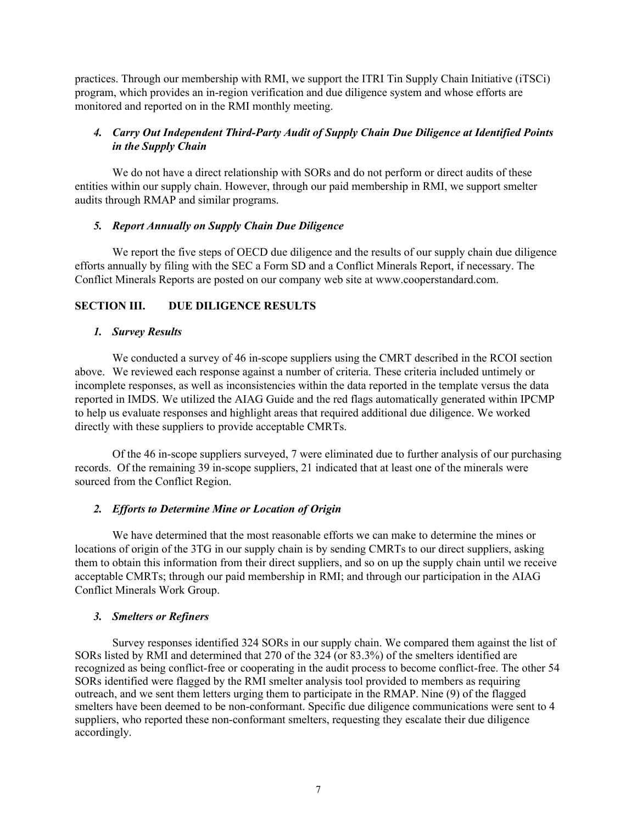practices. Through our membership with RMI, we support the ITRI Tin Supply Chain Initiative (iTSCi) program, which provides an in-region verification and due diligence system and whose efforts are monitored and reported on in the RMI monthly meeting.

# *4. Carry Out Independent Third-Party Audit of Supply Chain Due Diligence at Identified Points in the Supply Chain*

We do not have a direct relationship with SORs and do not perform or direct audits of these entities within our supply chain. However, through our paid membership in RMI, we support smelter audits through RMAP and similar programs.

### *5. Report Annually on Supply Chain Due Diligence*

We report the five steps of OECD due diligence and the results of our supply chain due diligence efforts annually by filing with the SEC a Form SD and a Conflict Minerals Report, if necessary. The Conflict Minerals Reports are posted on our company web site at www.cooperstandard.com.

# **SECTION III. DUE DILIGENCE RESULTS**

### *1. Survey Results*

We conducted a survey of 46 in-scope suppliers using the CMRT described in the RCOI section above. We reviewed each response against a number of criteria. These criteria included untimely or incomplete responses, as well as inconsistencies within the data reported in the template versus the data reported in IMDS. We utilized the AIAG Guide and the red flags automatically generated within IPCMP to help us evaluate responses and highlight areas that required additional due diligence. We worked directly with these suppliers to provide acceptable CMRTs.

 Of the 46 in-scope suppliers surveyed, 7 were eliminated due to further analysis of our purchasing records. Of the remaining 39 in-scope suppliers, 21 indicated that at least one of the minerals were sourced from the Conflict Region.

## *2. Efforts to Determine Mine or Location of Origin*

We have determined that the most reasonable efforts we can make to determine the mines or locations of origin of the 3TG in our supply chain is by sending CMRTs to our direct suppliers, asking them to obtain this information from their direct suppliers, and so on up the supply chain until we receive acceptable CMRTs; through our paid membership in RMI; and through our participation in the AIAG Conflict Minerals Work Group.

### *3. Smelters or Refiners*

Survey responses identified 324 SORs in our supply chain. We compared them against the list of SORs listed by RMI and determined that 270 of the 324 (or 83.3%) of the smelters identified are recognized as being conflict-free or cooperating in the audit process to become conflict-free. The other 54 SORs identified were flagged by the RMI smelter analysis tool provided to members as requiring outreach, and we sent them letters urging them to participate in the RMAP. Nine (9) of the flagged smelters have been deemed to be non-conformant. Specific due diligence communications were sent to 4 suppliers, who reported these non-conformant smelters, requesting they escalate their due diligence accordingly.